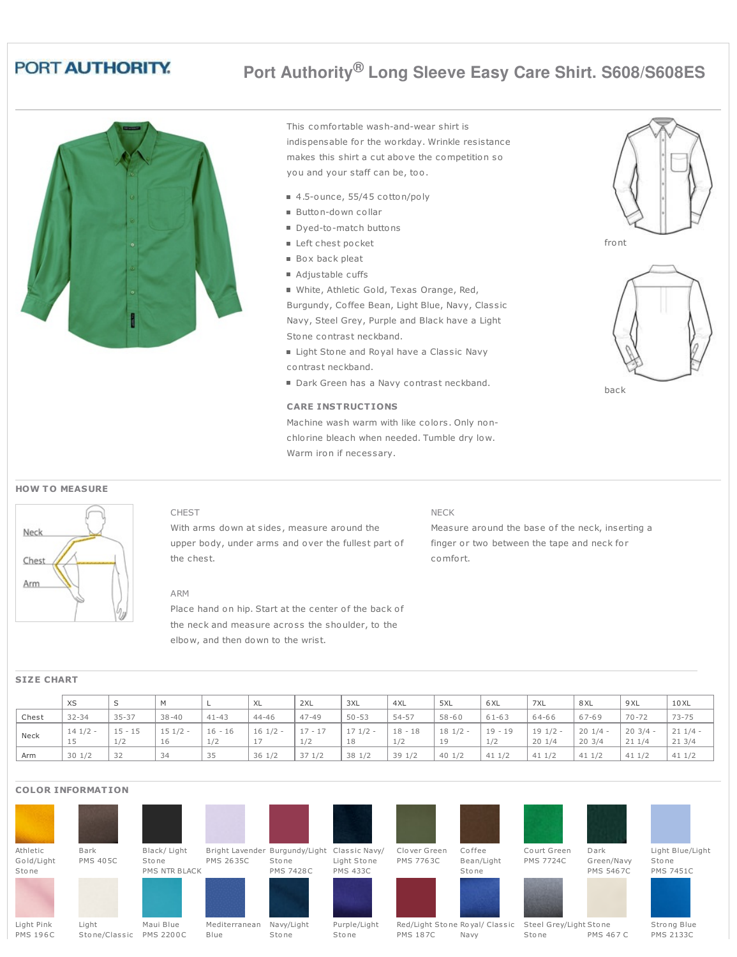# PORT AUTHORITY.

This comfortable wash-and-wear shirt is indispensable for the workday. Wrinkle resistance makes this shirt a cut above the competition so you and your staff can be, too.

**Port Authority® Long Sleeve Easy Care Shirt. S608/S608ES**

- 4.5-ounce, 55/45 cotton/poly
- Button-down collar
- Dyed-to-match buttons
- Left chest pocket
- Box back pleat
- Adjustable cuffs
- White, Athletic Gold, Texas Orange, Red,

Burgundy, Coffee Bean, Light Blue, Navy, Classic Navy, Steel Grey, Purple and Black have a Light Stone contrast neckband.

- Light Stone and Royal have a Classic Navy contrast neckband.
- Dark Green has a Navy contrast neckband.

### **CARE INSTRUCTIONS**

Machine wash warm with like colors. Only nonchlorine bleach when needed. Tumble dry low. Warm iron if necessary.

**HOW TO MEASURE** 



CHEST

With arms down at sides, measure around the upper body, under arms and over the fullest part of the chest.

# ARM

Place hand on hip. Start at the center of the back of the neck and measure across the shoulder, to the elbow, and then down to the wrist.

### NECK

Measure around the base of the neck, inserting a finger or two between the tape and neck for comfort.

|       | XS                      | S                | M               |                  | XL        | 2XL              | 3XL             | '4XL             | 5XL             | 6 XL             | 7XL                | 8 XL               | 9 XL               | 10XL               |
|-------|-------------------------|------------------|-----------------|------------------|-----------|------------------|-----------------|------------------|-----------------|------------------|--------------------|--------------------|--------------------|--------------------|
| Chest | $32 - 34$               | $35 - 37$        | $38 - 40$       | $41 - 43$        | $44 - 46$ | $47 - 49$        | $50 - 53$       | 54-57            | $58 - 60$       | $61 - 63$        | 64-66              | 67-69              | $70 - 72$          | $73 - 75$          |
| Neck  | $141/2 -$<br><b>J.J</b> | $15 - 15$<br>1/2 | $151/2 -$<br>16 | $16 - 16$<br>1/2 | $161/2 -$ | $17 - 17$<br>1/2 | $171/2 -$<br>18 | $18 - 18$<br>1/2 | $181/2 -$<br>19 | $19 - 19$<br>1/2 | $191/2 -$<br>201/4 | $201/4 -$<br>203/4 | $203/4 -$<br>211/4 | $211/4 -$<br>213/4 |
| Arm   | 301/2                   | 32               | 34              | 35               | 36 1/2    | 371/2            | 38 1/2          | 39 1/2           | 401/2           | 411/2            | 411/2              | 411/2              | 411/2              | 411/2              |

## **COLOR INFORMATION**

**SIZE CHART**



Black/ Light Sto ne PMS NTR BLACK

















Co urt Green PMS 7724C



Dark Green/Navy PMS 5467C



Light Blue/Light Sto ne PMS 7451C



Light Pink PMS 196C Light

Stone/Classic PMS 2200C Maui Blue

Mediterranean Blue

Navy/Light **Stone** 

Purple/Light Sto ne

Red/Light Stone Royal/ Classic Steel Grey/Light Stone PMS 187C Navy

Sto ne PMS 476C

Sto ne

PMS 467 C

Stro ng Blue PMS 2133C



back